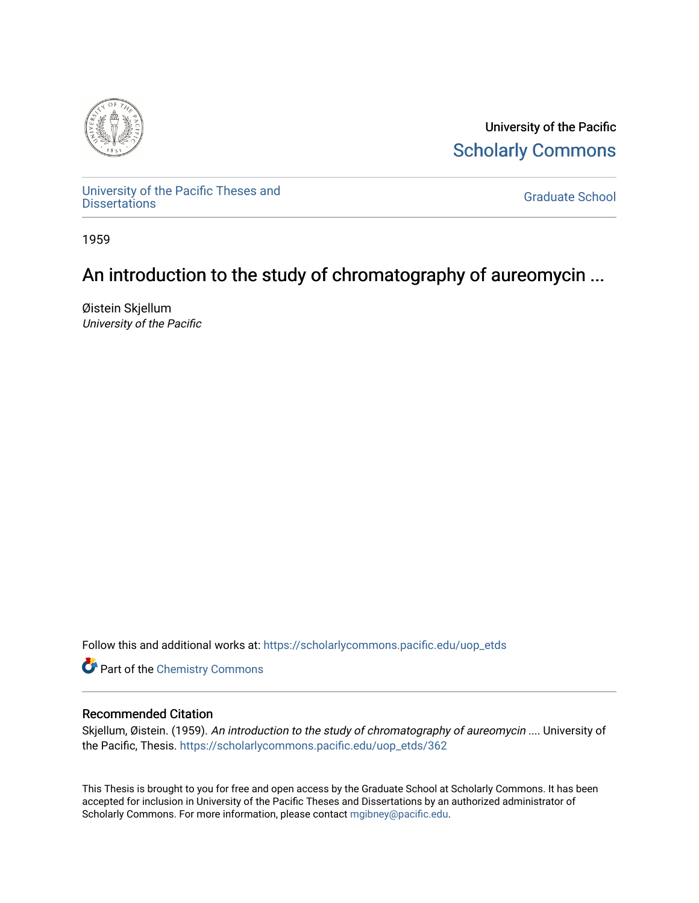

University of the Pacific [Scholarly Commons](https://scholarlycommons.pacific.edu/) 

[University of the Pacific Theses and](https://scholarlycommons.pacific.edu/uop_etds)  oniversity of the Pacific Theses and the control of the Control of [Graduate School](https://scholarlycommons.pacific.edu/graduate-school) Dissertations

1959

# An introduction to the study of chromatography of aureomycin ...

Øistein Skjellum University of the Pacific

Follow this and additional works at: [https://scholarlycommons.pacific.edu/uop\\_etds](https://scholarlycommons.pacific.edu/uop_etds?utm_source=scholarlycommons.pacific.edu%2Fuop_etds%2F362&utm_medium=PDF&utm_campaign=PDFCoverPages) 

**Part of the Chemistry Commons** 

## Recommended Citation

Skjellum, Øistein. (1959). An introduction to the study of chromatography of aureomycin .... University of the Pacific, Thesis. [https://scholarlycommons.pacific.edu/uop\\_etds/362](https://scholarlycommons.pacific.edu/uop_etds/362?utm_source=scholarlycommons.pacific.edu%2Fuop_etds%2F362&utm_medium=PDF&utm_campaign=PDFCoverPages) 

This Thesis is brought to you for free and open access by the Graduate School at Scholarly Commons. It has been accepted for inclusion in University of the Pacific Theses and Dissertations by an authorized administrator of Scholarly Commons. For more information, please contact [mgibney@pacific.edu.](mailto:mgibney@pacific.edu)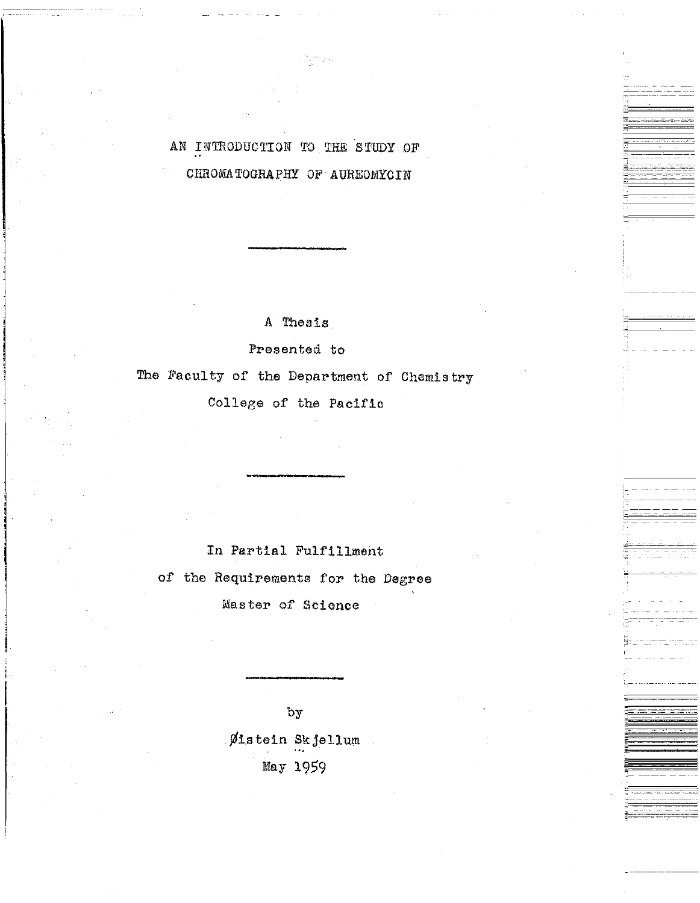## AN INTRODUCTION TO THE STUDY OF CHROMATOGRAPHY OF AUREOMYCIN

 $\mp^-$ 

-----

A Thesis

Presented to

The Faculty of the Department of Chemistry

College of the Pacific

In Partial Fulfillment

of the Requirements for the Degree

Master of Science

by

 $\emptyset$ istein Skjellum May 1959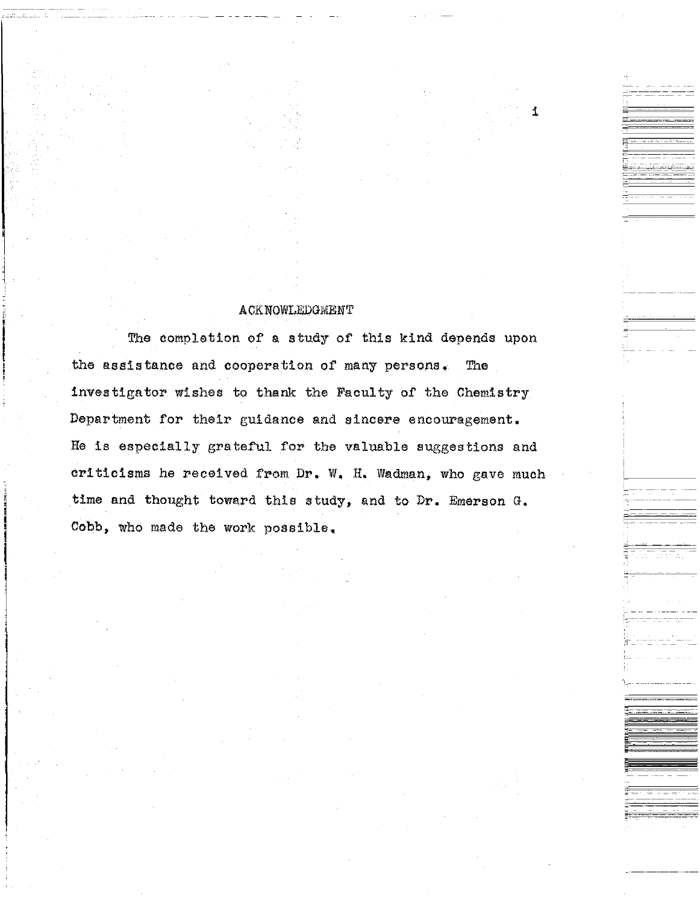### **ACKNOWLEDGMENT**

i

,\_

,- ------------

The completion of a study of this kind depends upon the assistance and cooperation of' many persons. The investigator wishes to thank the Faculty of the Chemistry Department for their guidance and sincere encouragement. He is especially grateful for the valuable suggestions and criticisms he received from Dr. W, H. Wadman, who gave much time and thought toward this study, and to Dr. Emerson G, Cobb, who made the work possible,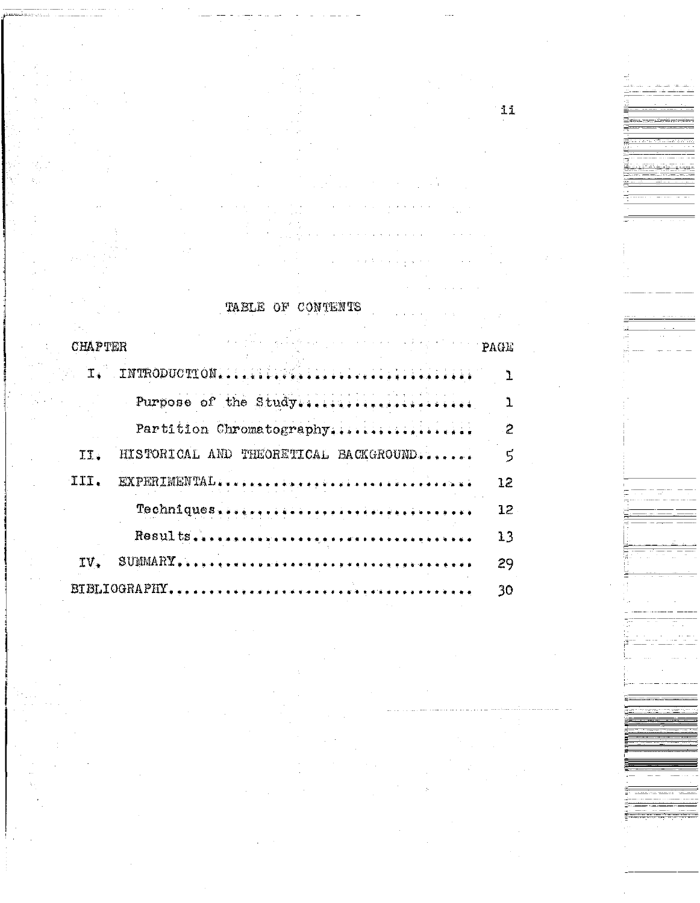|                | TABLE OF CONTENTS                                                                                                                                                                                                                                                                                                                                                                                                           |                 |
|----------------|-----------------------------------------------------------------------------------------------------------------------------------------------------------------------------------------------------------------------------------------------------------------------------------------------------------------------------------------------------------------------------------------------------------------------------|-----------------|
| <b>CHAPTER</b> | , which is a subspace of the second part of the set $\mathbf{PAGE}$                                                                                                                                                                                                                                                                                                                                                         |                 |
| $T_{\star}$    |                                                                                                                                                                                                                                                                                                                                                                                                                             |                 |
|                | Purpose of the Study                                                                                                                                                                                                                                                                                                                                                                                                        |                 |
|                | Partition Chromatography                                                                                                                                                                                                                                                                                                                                                                                                    |                 |
| II.            | HISTORICAL AND THEORETICAL BACKGROUND                                                                                                                                                                                                                                                                                                                                                                                       | 5               |
| III.           | EXPERIMENTAL                                                                                                                                                                                                                                                                                                                                                                                                                | 12              |
|                |                                                                                                                                                                                                                                                                                                                                                                                                                             | 12 <sup>°</sup> |
|                |                                                                                                                                                                                                                                                                                                                                                                                                                             | 13              |
| TV.            | $\texttt{SUMMARY} \texttt{}, \texttt{}, \texttt{}, \texttt{}, \texttt{}, \texttt{}, \texttt{}, \texttt{}, \texttt{}, \texttt{}, \texttt{}, \texttt{}, \texttt{}, \texttt{}, \texttt{}, \texttt{}, \texttt{}, \texttt{}, \texttt{}, \texttt{}, \texttt{}, \texttt{}, \texttt{}, \texttt{}, \texttt{}, \texttt{}, \texttt{}, \texttt{}, \texttt{}, \texttt{}, \texttt{}, \texttt{}, \texttt{}, \texttt{}, \texttt{}, \texttt$ | 29              |
|                |                                                                                                                                                                                                                                                                                                                                                                                                                             | 30              |

ii

 $\label{eq:2.1} \mathcal{L}^{\mathcal{L}}(\mathcal{H}) = \mathcal{L}^{\mathcal{L}}(\mathcal{H}) = \mathcal{L}^{\mathcal{L}}(\mathcal{H})$ 

 $\frac{1}{2}$  ,  $\frac{1}{2}$  ,  $\frac{1}{2}$  ,

 $\epsilon$  ,  $\epsilon$  ,  $\epsilon$  ,  $\epsilon$  ,  $\epsilon$ 

-----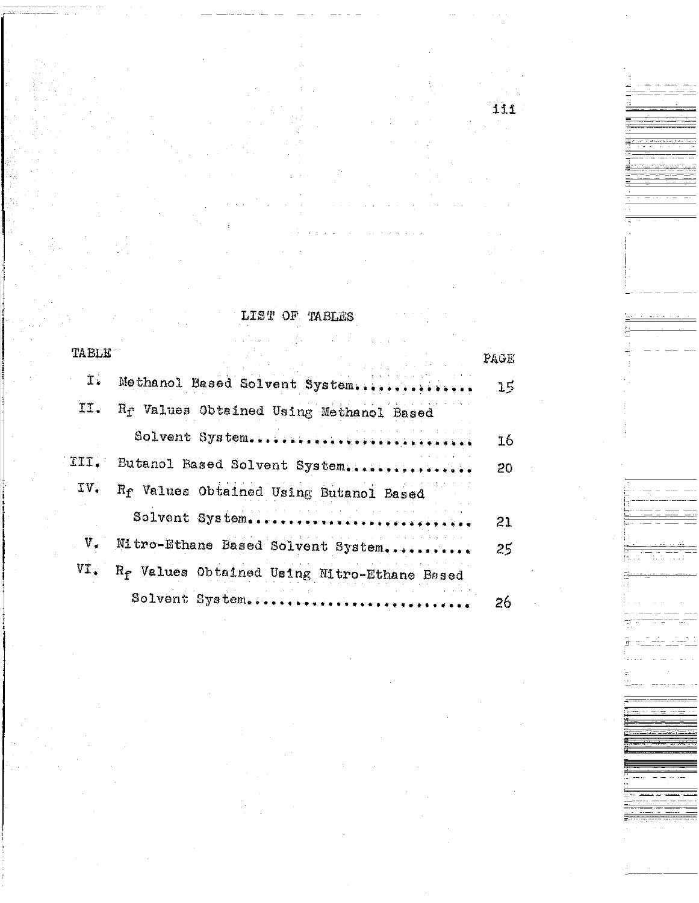|  | LIST OF TABLES |
|--|----------------|
|  |                |

 $\frac{1}{2}$  ,  $\frac{1}{2}$ 

 $\frac{1}{2} \left( \frac{1}{2} \right)$  $\hat{\mathcal{L}}$ 

 $\frac{1}{2}$  ,  $\frac{1}{2}$  ,  $\frac{1}{2}$ 

iii

 $\mathcal{L}(\mathbf{y})$  ,  $\mathcal{L}(\mathbf{y})$  ,  $\mathcal{L}(\mathbf{y})$ 

 $\frac{1}{2}$ 

 $\Xi^-$ 

i<br>Si

 $\overrightarrow{u}_{i}$  ---

|       | the control of the control of the control of the control of the control of |      |
|-------|----------------------------------------------------------------------------|------|
| TABLE |                                                                            | PAGE |
| I.    | Methanol Based Solvent System                                              | 15   |
| II.   | R <sub>I</sub> Values Obtained Using Methanol Based                        |      |
|       | Solvent System.                                                            | 16   |
| III.  | Butanol Based Solvent System.                                              | 20   |
| IV.   | Rr Values Obtained Using Butanol Based                                     |      |
|       | Solvent System                                                             | 21   |
|       | Mitro-Ethane Based Solvent System                                          | 25   |
| VI.   | R <sub>f</sub> Values Obtained Using Mitro-Ethane Based                    |      |
|       | Solvent System.                                                            | 26   |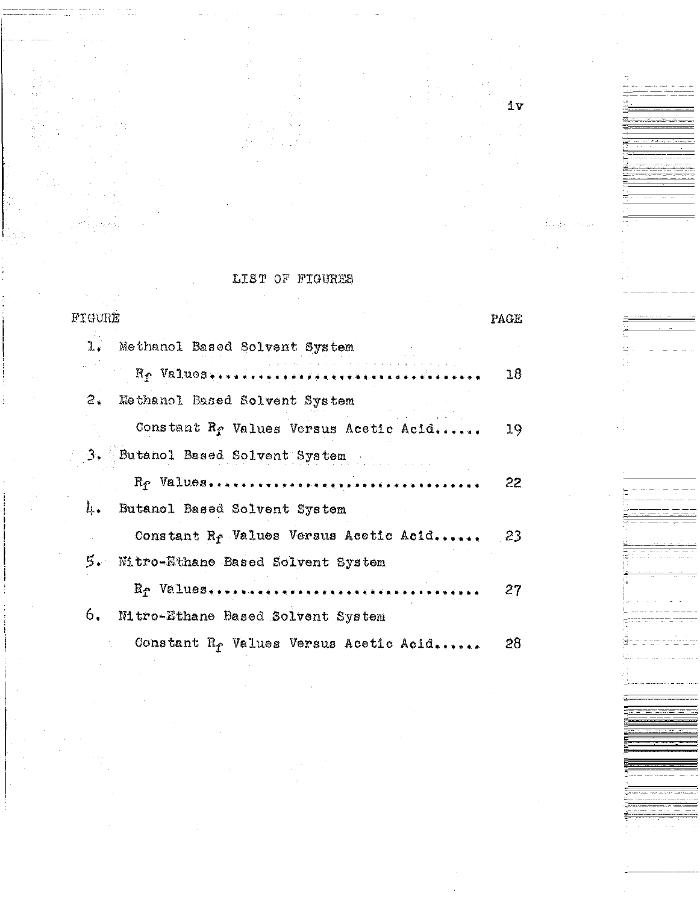| FIGURE                                                  | PAGE |
|---------------------------------------------------------|------|
| Methanol Based Solvent System<br>ı.                     |      |
| Rp Values.                                              | 18   |
| $\mathbb{Z}_{\bullet}$<br>Methanol Based Solvent System |      |
| Constant R <sub>f</sub> Values Versus Acetic Acid       | 19   |
| 3. Butanol Based Solvent System                         |      |
|                                                         | 22   |
| 4.<br>Butanol Based Solvent System                      |      |
| Constant R <sub>f</sub> Values Versus Acetic Acid       | -23  |
| 5. Mitro-Ethane Based Solvent System                    |      |
|                                                         | 27   |
| 6.<br>Mitro-Ethane Based Solvent System                 |      |
| Constant R <sub>f</sub> Values Versus Acetic Acid       | 28   |

### LIST OF FIGURES

iv

n<br>Sistema<br>Sistema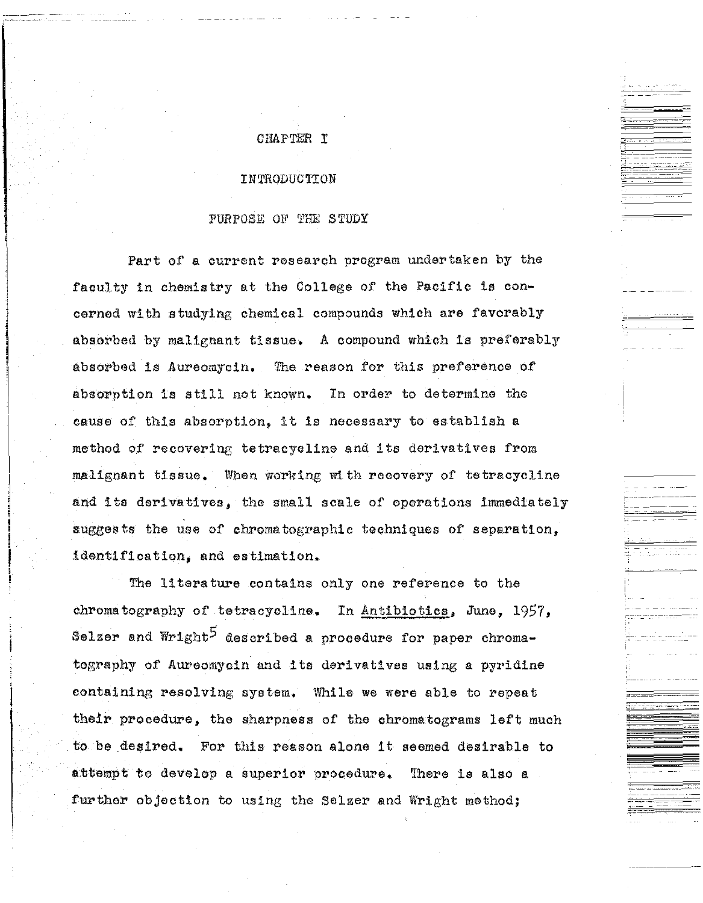## CHAPTER I

#### INTRODUCTION

#### PURPOSE OF THE STUDY

Part of a current research program undertaken by the faculty in chemistry at the College of the Pacific is concerned with studying chemical compounds which are favorably absorbed by malignant tissue. A compound which is preferably absorbed is Aureomycin, The reason for this preference of absorption is still not known. In order to determine the cause of this absorption, it is necessary to establish a method of recovering tetracycline and its derivatives from malignant tissue. When working with recovery of tetracycline and its derivatives, the small scale of operations immediately suggests the use of chromatographic techniques of separation, identification, and estimation.

The literature contains only one reference to the chromatography of tetracycline. In Antibiotics. June, 1957, Selzer and Wright<sup>5</sup> described a procedure for paper chromatography of Aureomycin and its derivatives using a pyridine containing resolving system. While we were able to repeat their procedure, the sharpness of the chromatograms left much to be desired, For this reason alone it seemed desirable to attempt to develop a superior procedure. There is also a further objection to using the Selzer and Wright method;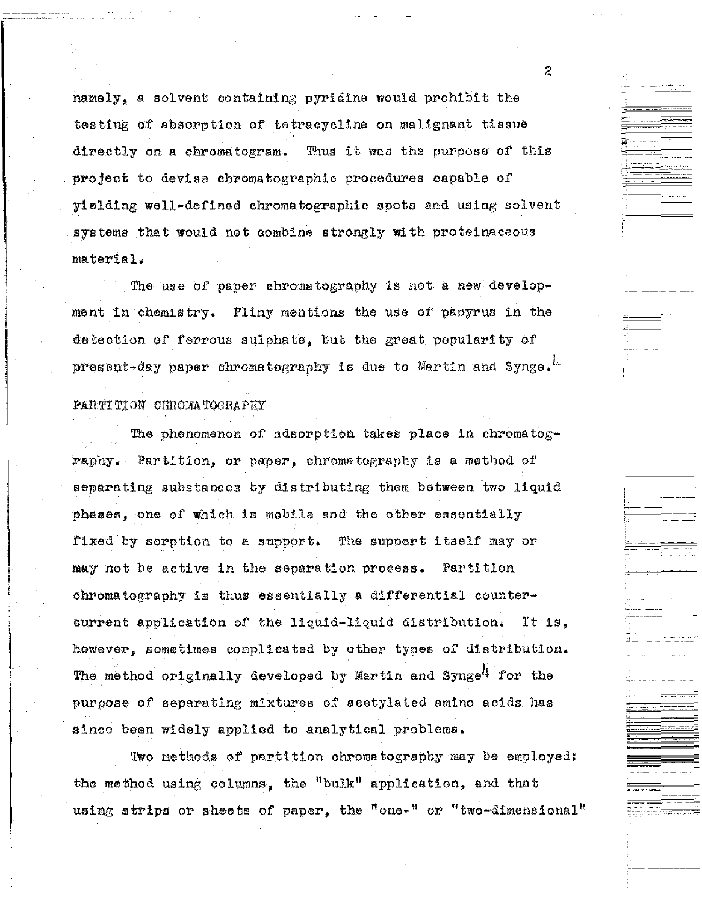namely, a solvent containing pyridine would prohibit the testing of absorption of tetracycline on malignant tissue directly on a chromatogram, Thus it was the purpose of this project to devise chromatographic procedures capable of yielding well-defined chromatographic spots and using solvent systems that would not combine strongly with proteinaceous material,

The use of paper chromatography is not a new developrnent in chemistry, Pliny mentions the use of papyrus in the detection of ferrous sulphate, but the great popularity of present-day paper chromatography is due to Martin and Synge.  $^{\text{1}}$ 

#### PARTITION CHROMATOGRAPHY

The phenomenon of adsorption takes place in chromatography. Partition, or paper, chromatography is a method of separating substances by distributing them between two liquid phases, one of which is mobile and the other essentially fixed by sorption to a support. The support itself may or may not be active in the separation process. Partition chromatography is thus essentially a differential countercurrent application of the liquid-liquid distribution. It is, however, sometimes complicated by other types of distribution. The method originally developed by Martin and Synge<sup>4</sup> for the purpose of separating mixtures of acetylated amino acids has since been widely applied to analytical problems,

Two methods of partition chromatography may be employed: the method using columns, the "bulk" application, and that using strips or sheets of paper, the "one-" or "two-dimensional"

2

 $\frac{1-\frac{1}{2}-\frac{1}{2-\alpha}}{\frac{1}{2-\alpha}-\alpha+\alpha}$ 

-------

 $=$ 

 $\Xi_{\rm m}$  .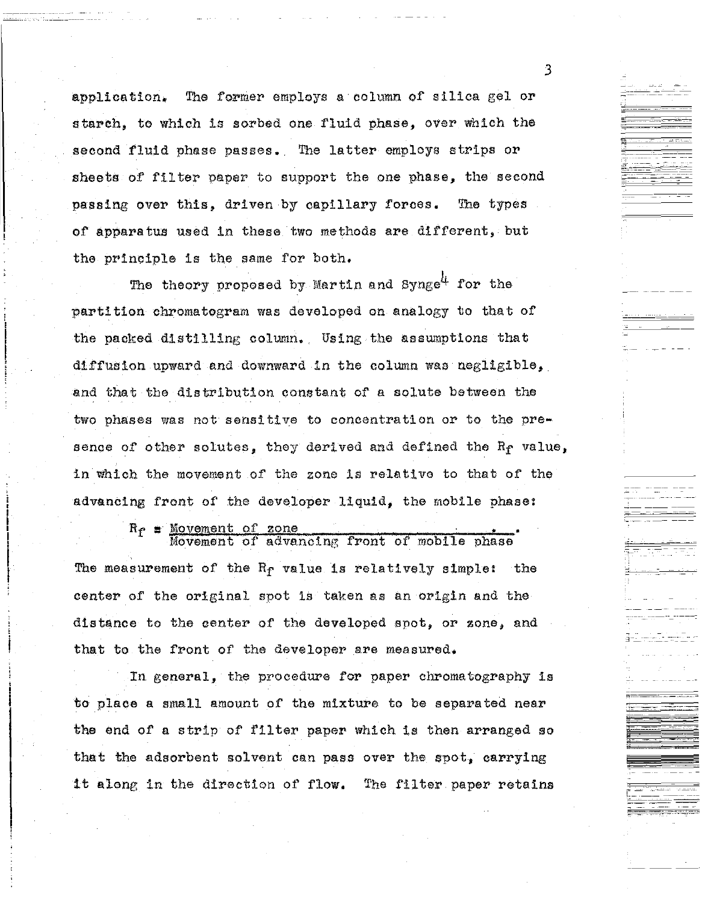application. The former employs a column of silica gel or starch, to which is sorbed one fluid phase, over which the second fluid phase passes. The latter employs strips or sheets of filter paper to support the one phase, the second passing over this, driven by capillary forces. The types of apparatus used in these two methods are different, but the principle is the same for both,

The theory proposed by Martin and Synge<sup>4</sup> for the partition chromatogram was developed on analogy to that of the packed distilling column. Using the assumptions that diffusion upward and downward in the column was negligible, and that the distribution constant of a solute between the two phases was not sensitive to concentration or to the presence of other solutes, they derived and defined the  $R_f$  value, in which the movement of the zone is relative to that of the advancing front of' the developer liquid, the mobile phase:

> $R_f$  = Movement of zone. Movement of advancing front of mobile phase

The measurement of the  $R_f$  value is relatively simple: the center of the original spot is taken as an origin and the distance to the center of the developed spot, or zone, and that to the front of the developer are measured.

In general, the procedure for paper chromatography is to place a small amount of the mixture to be separated near the end of a strip of filter paper which is then arranged so that the adsorbent solvent can pass over the spot, carrying it along in the direction of flow. The filter paper retains

3

----- --- ----

-·

- -·· ---··-· - ~

 $- -$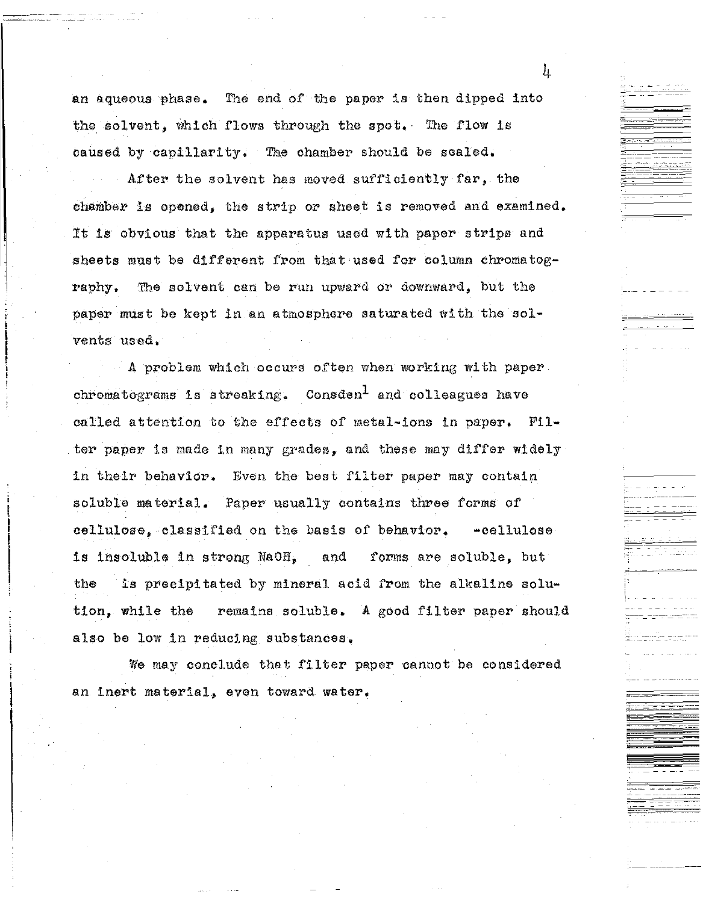an aqueous phase. The end of the paper is then dipped into the solvent, which flows through the spot. The flow is caused by capillarity. The chamber should be sealed.

After the solvent has moved sufficiently far, the chamber is opened, the strip or sheet is removed and examined. :tt is obvious that the apparatus used with paper strips and sheets must be different from that used for column chromatography. The solvent can be run upward or downward, but the paper must be kept in an atmosphere saturated with the solvents used.

A problem which occurs often when workiug with paper chromatograms is streaking. Consden<sup>1</sup> and colleagues have called attention to the effects of metal-ions in paper. Filter paper is made in many grades, and these may differ widely in their behavior. Even the best filter paper may contain soluble material. Paper usually contains three forms of cellulose, classified on the basis of behavior. -cellulose is insoluble in strong NaOH, and forms are soluble, but the is precipitated by mineral acid from the alkaline solution, while the remains soluble. A good filter paper should also be low in reducing substances.

We may conclude that filter paper cannot be considered an inert material, even toward water,

 $\mathbf{h}$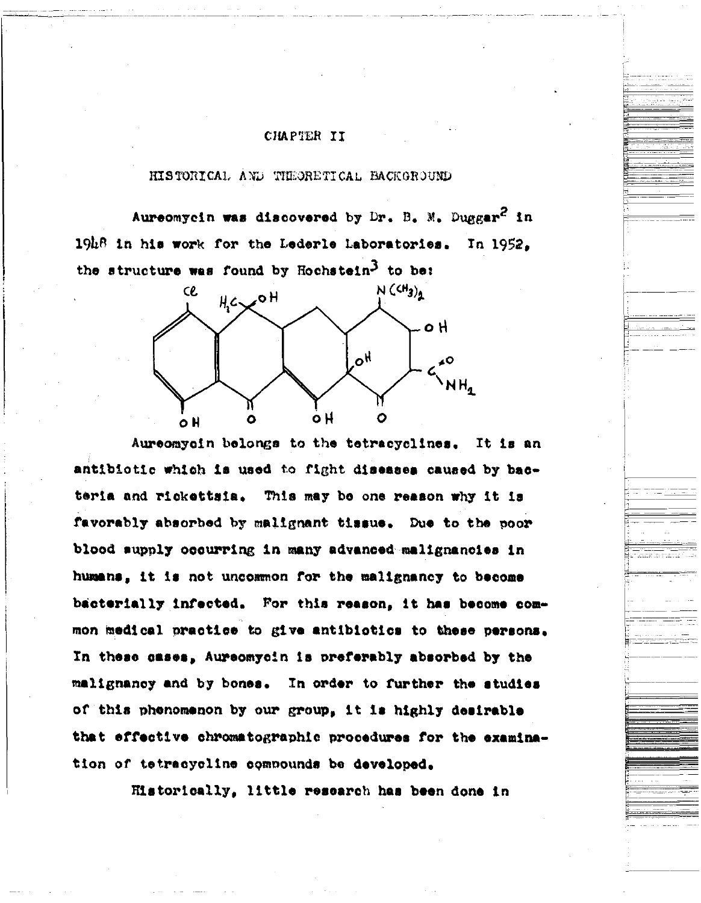### CHAPTER II

## HISTORICAL AND THEORETICAL BACKGROUND

Aureomycin was discovered by Dr. B. M. Duggar<sup>2</sup> in 19h8 in his work for the Lederle Laboratories. In 1952. the structure was found by Hochstein<sup>3</sup> to be:



Aureomyoin belongs to the tetracyclines. It is an antibiotic which is used to fight diseases caused by bacteria and rickettsia. This may be one reason why it is favorably absorbed by malignant tissue. Due to the poor blood supply occurring in many advanced malignancies in humans, it is not uncommon for the malignancy to become bacterially infected. For this reason, it has become common medical practice to give antibiotics to these persons. In these cases, Aureomycin is preferably absorbed by the malignancy and by bones. In order to further the studies of this phenomenon by our group, it is highly desirable that effective chromatographic procedures for the examination of tetracycline compounds be developed.

Historically, little research has been done in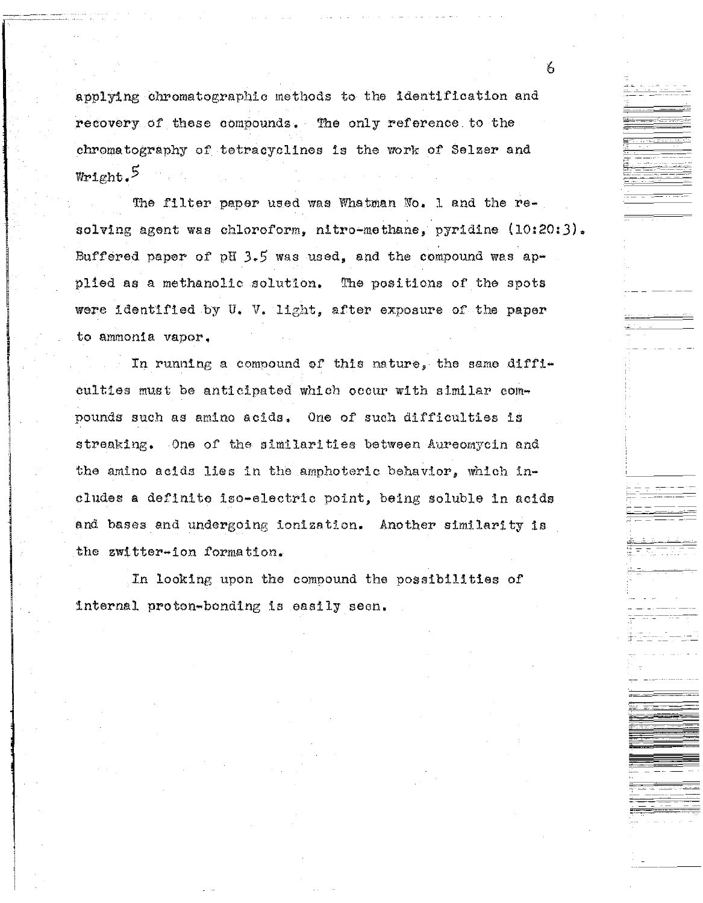applying chromatographic methods to the identification and recovery of these compounds. The only reference to the chromatography of tetracyclines is the work of Selzer and  $W$ right. $^5$ 

The filter paper used was Whatman No. 1 and the resolving agent was chloroform, nitro-methane, pyridine (10:20:3). Buffered paper of pH  $3.5$  was used, and the compound was applied as a methanolic solution, The positions of the spots were identified by U. V. light, after exposure of the paper to ammonia vapor,

In running a compound of this nature, the same difficulties must be anticipated which occur with similar compounds such as amino acids, One of such difficulties is streaking. One of' the similarities between Aureomycin and the amino acids lies in the amphoteric behavior, which ineludes a definite iso-electric point, being soluble in acids and bases and undergoing ionization. Another similarity is the zwitter-ion formation.

In looking upon the compound the possibilities of internal proton-bonding is easily seen.

6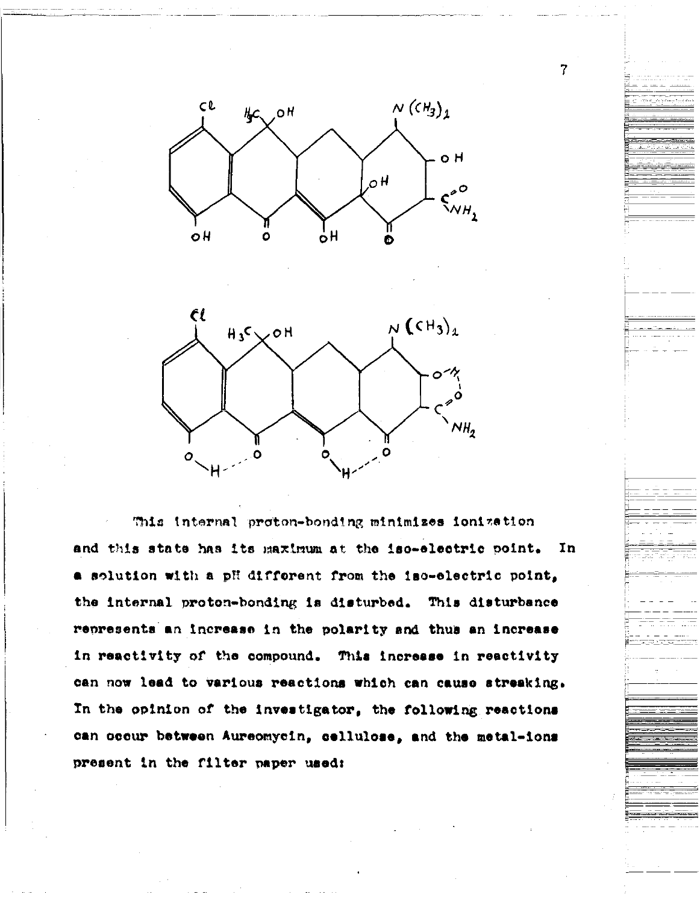



This internal proton-bonding minimizes ionization and this state has its maximum at the iso-electric point. In a solution with a pH different from the iso-electric point, the internal proton-bonding is disturbed. This disturbance represents an increase in the polarity and thus an increase in reactivity of the compound. This increase in reactivity can now lead to various reactions which can cause streaking. In the opinion of the investigator, the following reactions can occur between Aureomycin, cellulose, and the metal-ions present in the filter paper used:

7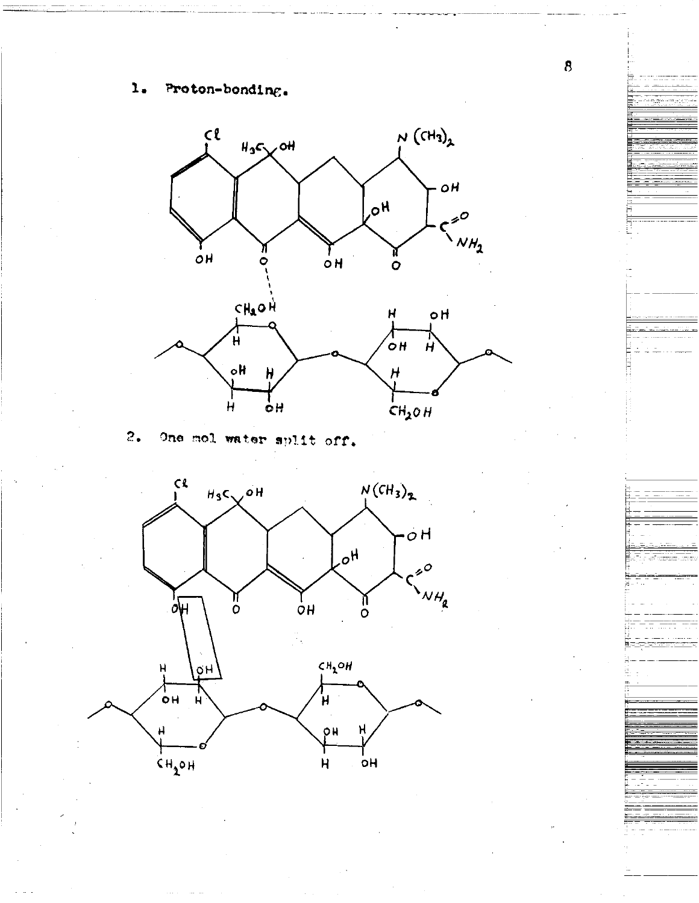#### Proton-bonding.  $\mathbf{1}_{\bullet}$



 $2.$ One mol water split off.



 $\bf{8}$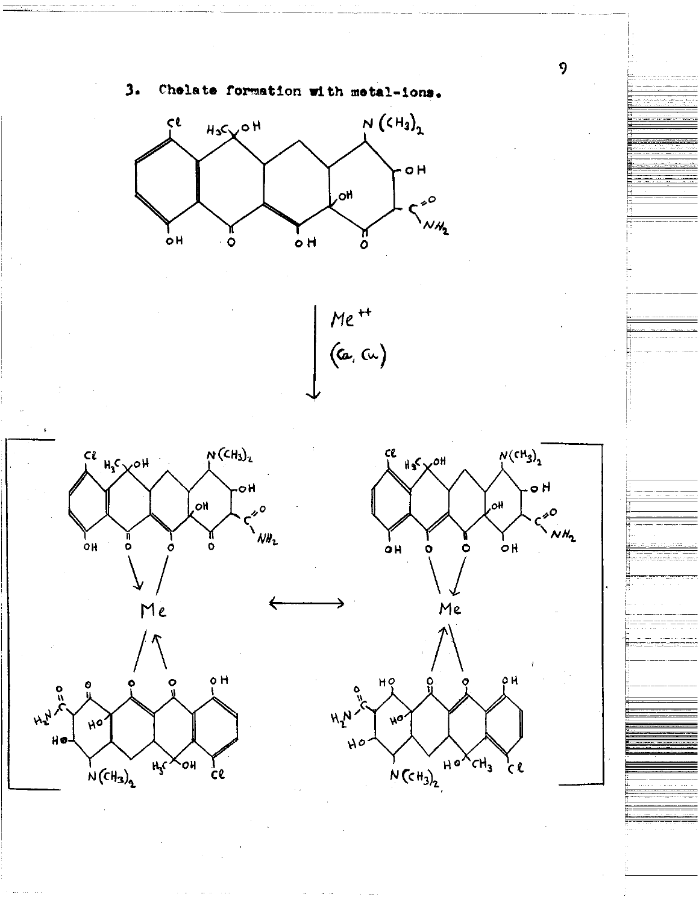

 $H_s$  $\times$ OH

 $\frac{1}{2}$ 

 $\frac{1}{2}$ N(CH<sub>3</sub>)

9

 $\zeta$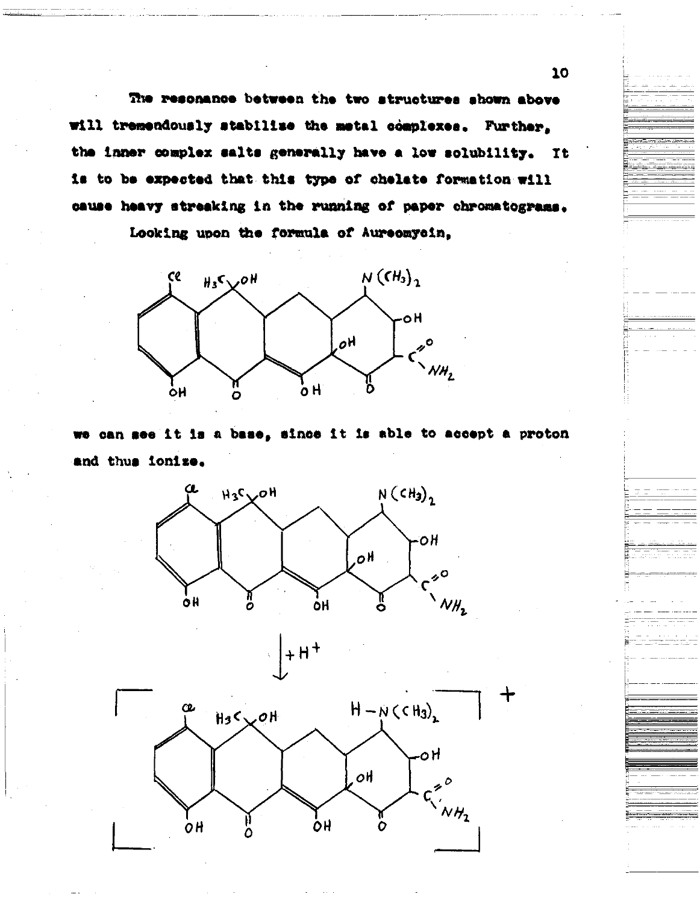The resonance between the two structures shown above will tremendously stabilize the metal complexes. Further. the inner complex salts generally have a low solubility. It is to be expected that this type of chelate formation will cause heavy streaking in the running of paper chromatograms.

Looking upon the formula of Aureomycin,



we can see it is a base, since it is able to accept a proton and thus ionize.



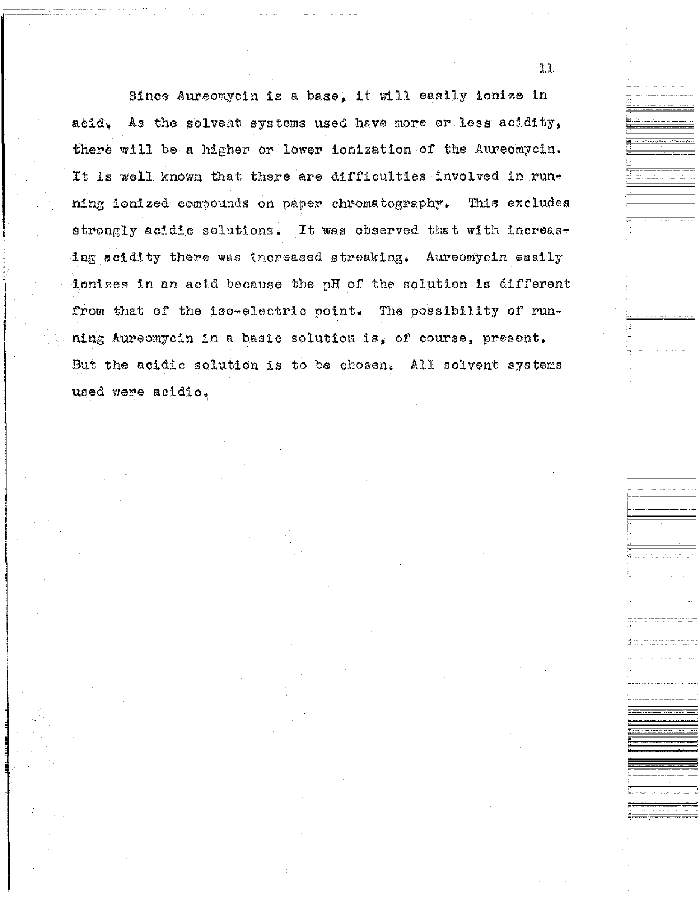Since Aureomycin is a base, it will easily ionize in acid. As the solvent systems used have more or less acidity, there will be a higher or lower ionization of the Aureomycin. It is well known that there are difficulties involved in running ionized compounds on paper chromatography. This excludes strongly acidic solutions. It was observed that with increasing acidity there was increased streaking, Aureomycin easily ionizes in an acid because the pH of the solution is different from that of the iso-electric point. The possibility of running Aureomycin in a basic solution is, of course, present, But the acidic solution is to be chosen. All solvent systems used were acidic.

11

 $-$ 

;<br>=

i- <u>-</u><br>1

---------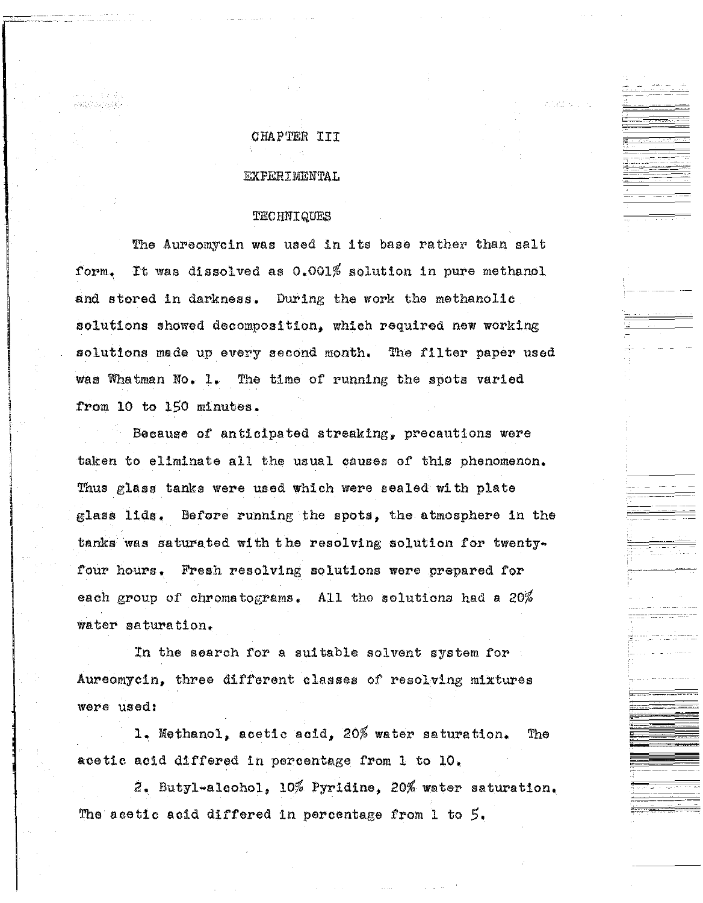## CHAP'l'ER III

#### EXPERIMENTAL

#### **TECHNIQUES**

The Aureomycin was used in its base rather than salt form. It was dissolved as  $0.001\%$  solution in pure methanol and stored in darkness. During the work the methanolic solutions showed decomposition, which required new working solutions made up every second month. The filter paper used was Whatman No, 1, The time of running the spots varied from 10 to 150 minutes.

Because of anticipated streaking, precautions were taken to eliminate all the usual causes of this phenomenon, Thus glass tanks were used which were sealed with plate glass lids, Before running the spots, the atmosphere in the tanks was saturated with the resolving solution for twentyfour hours. Fresh resolving solutions were prepared for each group of chromatograms. All the solutions had a  $20\%$ water saturation.

In the search for a suitable solvent system for Aureomycin, three different classes of resolving mixtures were used:

l~ Methanol, acetic acid, *20%* water saturation. The acetic acid differed in percentage from 1 to 10,

2. Butyl-alcohol, 10% Pyridine, 20% water saturation, The acetic acid differed in percentage from 1 to *5.*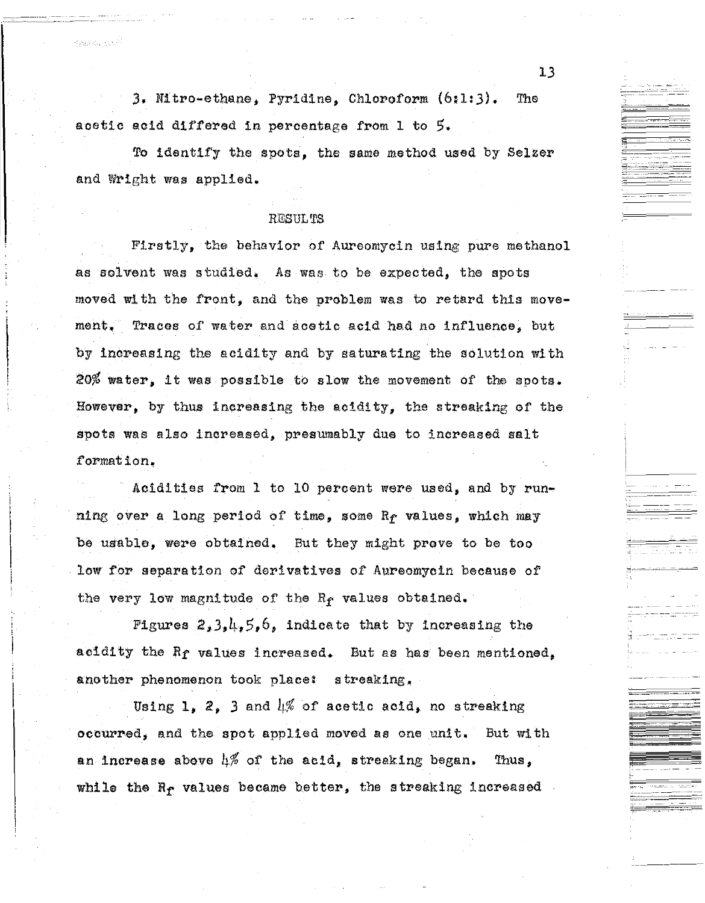J, Nitro-ethane, Pyridine, Chloroform (6:1:3). 'The acetic acid differed in percentage from 1 to 5.

*'to* identify the spots, the same method used by Selzer and Wright was applied.

#### RESULTS

Firstly, the behavior of Aureomycin using pure methanol as solvent was studied. As was to be expected, the spots moved with the front, and the problem was to retard this movement. Traces of water and acetic acid had no influence, but by increasing the acidity and by saturating the solution with 20% water, it was possible to slow the movement of the spots. However, by thus increasing the acidity, the streaking of the spots was also increased, presumably due to increased salt formation.

Acidities from 1 to 10 percent were used, and by running over a long period of time, some Rr values, which may be usable, were obtained, But they might prove to be too low for separation of derivatives of Aureomycin because of the very low magnitude of the  $R_f$  values obtained.

Figures  $2, 3, 4, 5, 6$ , indicate that by increasing the acidity the *Rt* values increased, But as has been mentioned, another phenomenon took place: a treaking,

Using 1, 2, 3 and  $\mu$ % of acetic acid, no streaking occurred, and the spot applied moved as one unit. But with an increase above  $4\%$  of the acid, streaking began. Thus, while the  $R_{\rm f}$  values became better, the streaking increased  $\sim$ 

13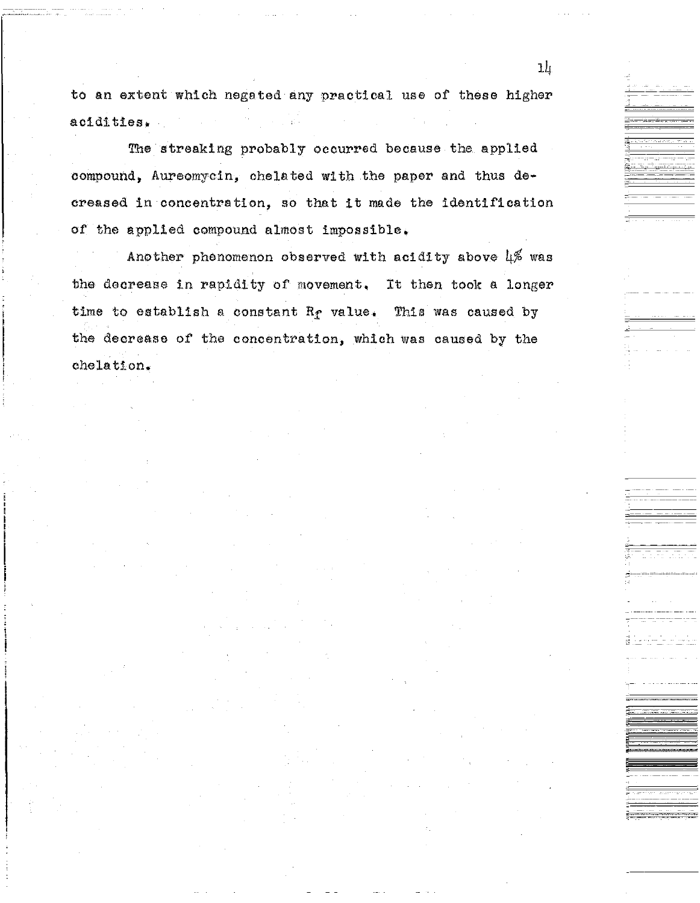to an extent which negated any practical use of these higher acidities.

The streaking probably occurred because the applied compound, Aureomycin, chelated with the paper and thus decreased in concentration, so that it made the identification of the applied compound almost impossible.

Another phenomenon observed with acidity above 4% was the decrease in rapidity of movement, It then took a longer time to establish a constant  $R_f$  value. This was caused by the decrease of the concentration, which was caused by the chelation.

'""-- -- -- - ---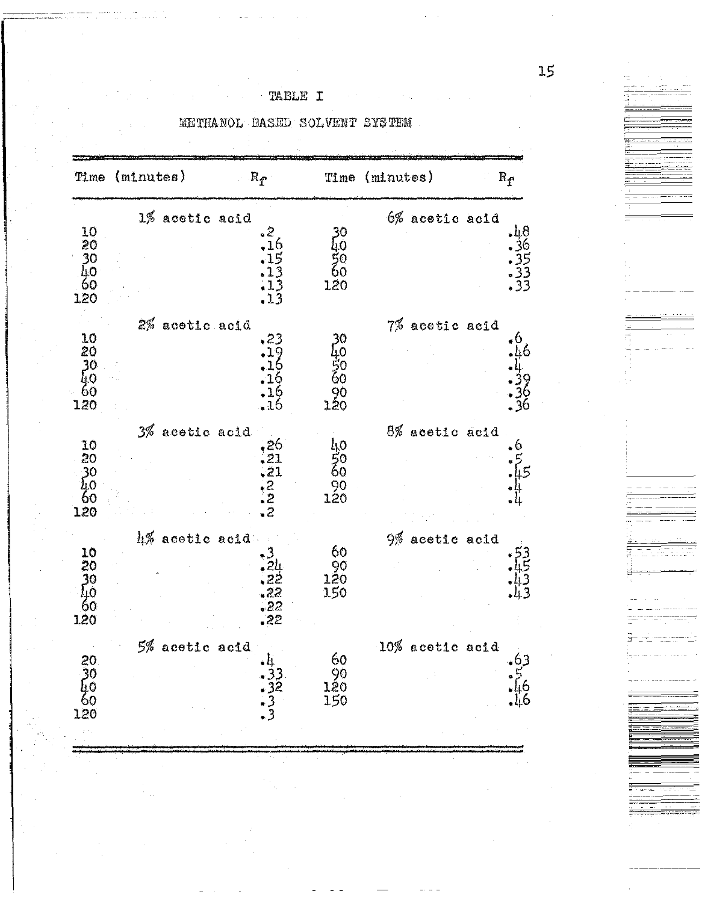TABLE I

 $\sim$   $\sim$ 

|                                                    | Time (minutes) | $R_{\rm f}$                                                         |                                    | Time (minutes)     | $\mathbf{R}_{\mathbf{f}}$   |
|----------------------------------------------------|----------------|---------------------------------------------------------------------|------------------------------------|--------------------|-----------------------------|
| 10<br>20<br>30<br>40<br>60<br>120                  | 1% acetic acid | 2ء<br>.16<br>$\begin{array}{c} 15 \\ -13 \\ -13 \\ -13 \end{array}$ | 120                                | $6%$ acetic acid   | 48<br>36535<br>3333<br>333  |
| 10<br>20<br>30<br>40<br>60<br>120                  | 2% acetic acid | .23<br>.19<br>16<br>,16<br>16<br>. 16                               | 30<br>40<br>50<br>60<br>90<br>120  | 7% acetic acid     | 6.<br>46<br>$\frac{36}{36}$ |
| 10<br>20<br>$\frac{30}{40}$<br>120                 | 3% acetic acid | $\frac{26}{22222}$                                                  | 40<br>$\frac{50}{60}$<br>90<br>120 | 8% acetic acid     | o                           |
| $\frac{10}{20}$<br>$\frac{30}{10}$<br>120          | 4% acetic acid | 22<br>.22<br>, 22<br>, 22                                           | 60<br>90<br>120<br>150             | 9% acetic acid     |                             |
| 20<br>20<br>20<br>20<br>20<br>20<br>20<br>20<br>20 | 5% acetic acid | 4 3 3<br>3 3 2<br>3                                                 | 60<br>90<br>120<br>150<br>150      | $10\%$ acetic acid | 63<br>ի6<br>46              |

METHANOL BASED SOLVENT SYSTEM

Ì

医中国细胞的

- 国内 - 四国。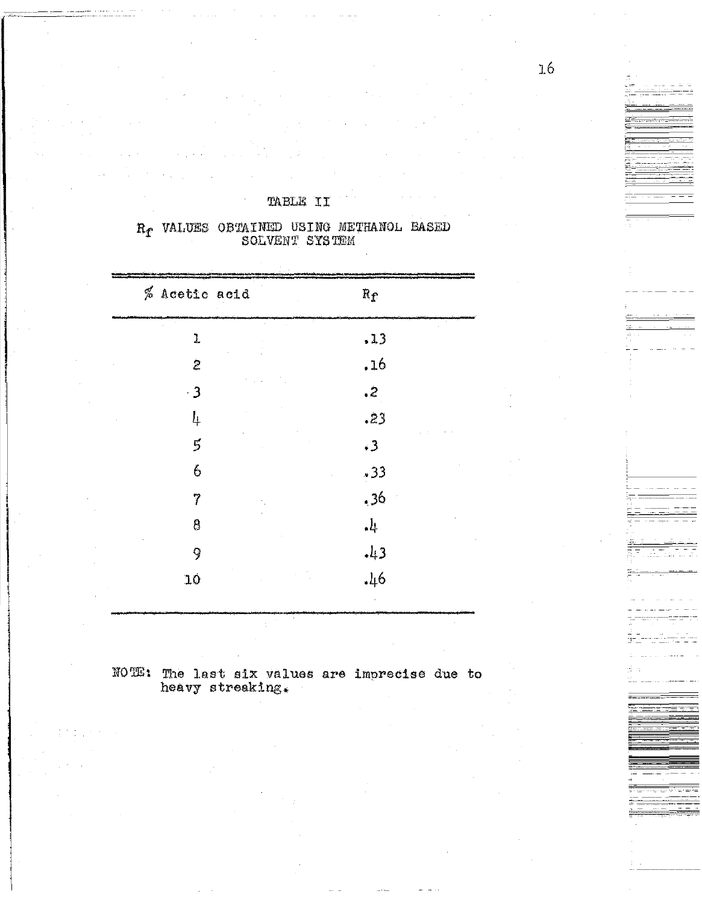| % Acetic acid            | $R_f$                   |  |
|--------------------------|-------------------------|--|
| ı                        | .13                     |  |
| $\mathbf{z}$             | .16                     |  |
| $\overline{\phantom{0}}$ | $\sim$                  |  |
| 4                        | .23                     |  |
| $\vec{5}$                | $\cdot$ 3               |  |
| 6                        | .33                     |  |
| 7                        | .36                     |  |
| 8                        | $\downarrow^{\text{L}}$ |  |
| 9                        | , 4.3                   |  |
| 10                       | $-l16$                  |  |
|                          |                         |  |

 $\mathbf{R}_{\pmb{\Gamma}}$  VALUES OBTAINED USING METHANOL BASED SOLVENT SYSTEM

TABLE II

NOTE: The last six values are imprecise due to heavy streaking.

**The Second Second Second**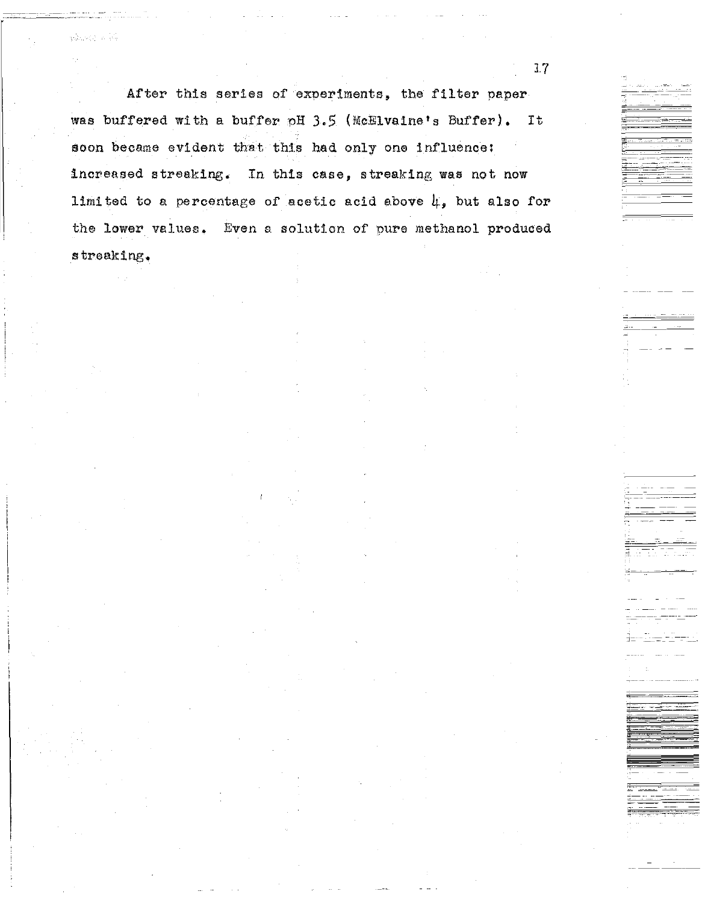After this series of experiments, the filter paper was buffered with a buffer pH 3.5 (McHlvaine's Buffer). **Tt** soon became evident that this had only one influence: increased streaking. In this case, streaking was not now limited to a percentage of acetic acid above  $\mu$ , but also for the lower values. Even a solution of pure methanol produced streaking.

 $3.7<sup>°</sup>$ 

where a R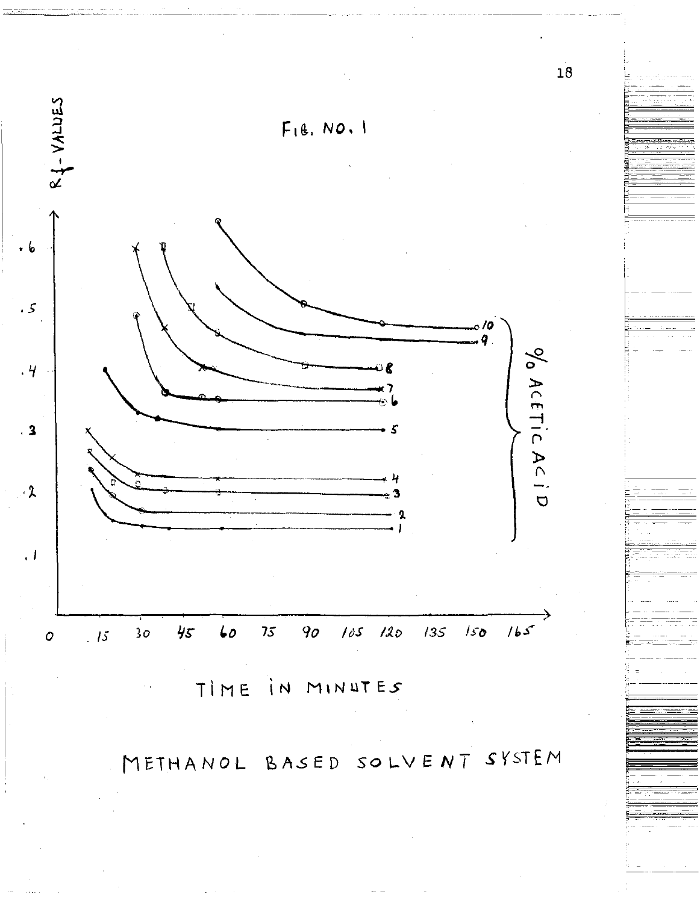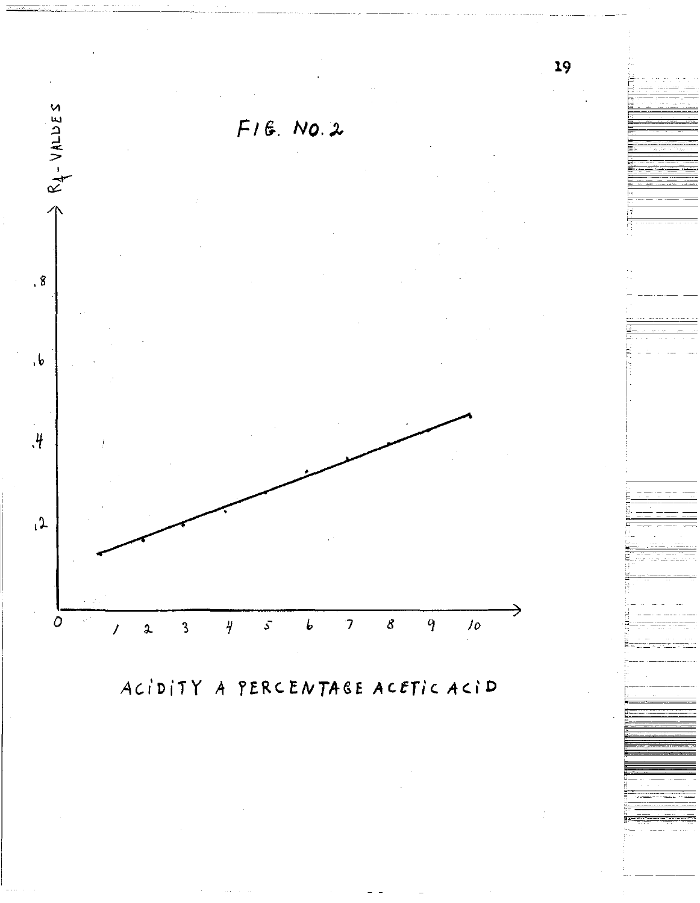

ACIDITY A PERCENTAGE ACETIC ACID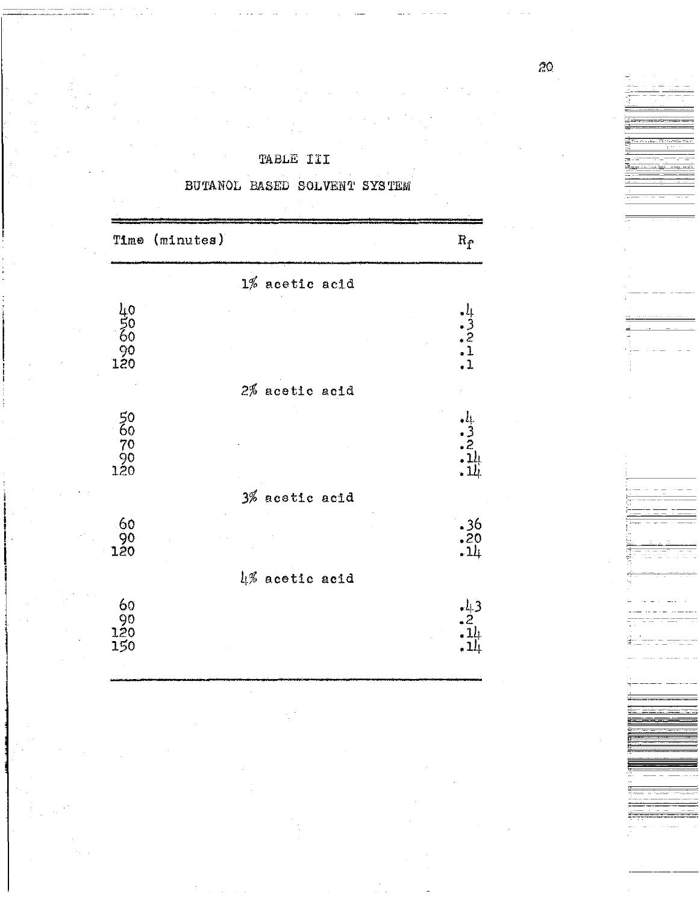|                               | Time (minutes) |                  |                                                               |
|-------------------------------|----------------|------------------|---------------------------------------------------------------|
|                               |                |                  | $\mathbf{R}_{\tilde{\mathbf{T}}}$                             |
|                               |                | $1%$ acetic acid |                                                               |
| 40<br>000<br>120<br>120       |                |                  | $-1$<br>$-221$                                                |
|                               |                | 2% acetic acid   |                                                               |
| 50<br>60<br>70<br>90<br>120   |                |                  | <u>. li</u><br>$\begin{array}{c} -3 \\ -2 \\ -14 \end{array}$ |
|                               |                | 3% acetic acid   |                                                               |
| 60<br>90<br>120               |                |                  | $.36$<br>$.20$<br>$.14$                                       |
|                               |                | 4% acetic acid   |                                                               |
| 60<br>$\frac{90}{120}$<br>150 |                |                  | $\frac{1}{2}$<br>$\frac{2}{11}$<br>$\frac{11}{11}$            |

BUTANOL BASED SOLVENT SYSTEM

TABLE III

。<br>雷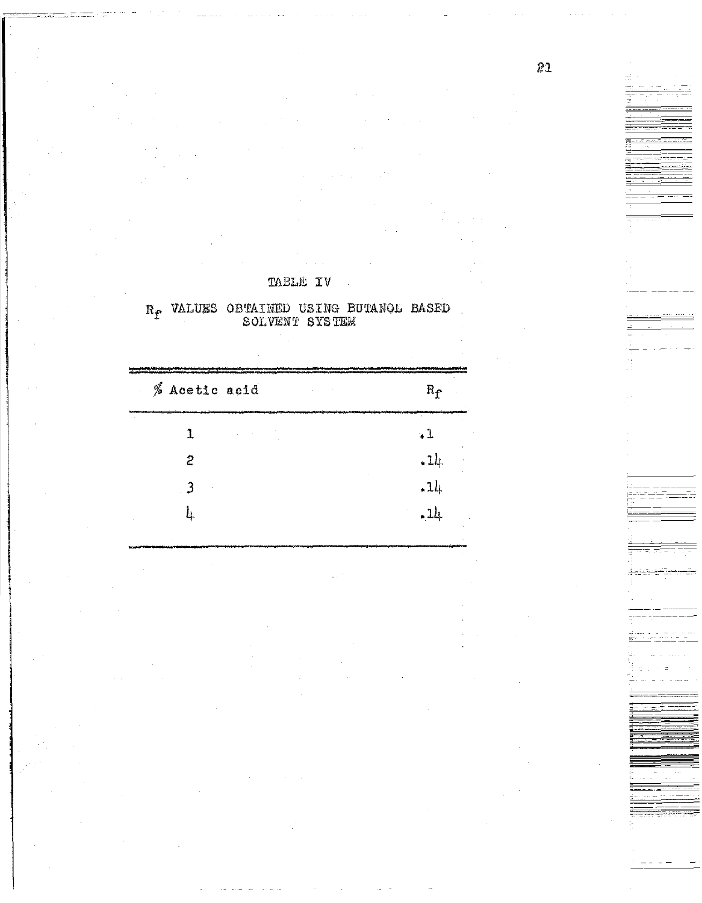| TABLE | ΙV |
|-------|----|
|       |    |

 $\label{eq:2} \frac{1}{2}\sum_{i=1}^n\frac{1}{2}\sum_{j=1}^n\frac{1}{2}\sum_{j=1}^n\frac{1}{2}\sum_{j=1}^n\frac{1}{2}\sum_{j=1}^n\frac{1}{2}\sum_{j=1}^n\frac{1}{2}\sum_{j=1}^n\frac{1}{2}\sum_{j=1}^n\frac{1}{2}\sum_{j=1}^n\frac{1}{2}\sum_{j=1}^n\frac{1}{2}\sum_{j=1}^n\frac{1}{2}\sum_{j=1}^n\frac{1}{2}\sum_{j=1}^n\frac{1}{2}\sum_{j=1}^n\frac{$ 

 $\label{eq:2.1} \frac{1}{\sqrt{2}}\sum_{i=1}^n\frac{1}{\sqrt{2}}\sum_{i=1}^n\frac{1}{\sqrt{2}}\sum_{i=1}^n\frac{1}{\sqrt{2}}\sum_{i=1}^n\frac{1}{\sqrt{2}}\sum_{i=1}^n\frac{1}{\sqrt{2}}\sum_{i=1}^n\frac{1}{\sqrt{2}}\sum_{i=1}^n\frac{1}{\sqrt{2}}\sum_{i=1}^n\frac{1}{\sqrt{2}}\sum_{i=1}^n\frac{1}{\sqrt{2}}\sum_{i=1}^n\frac{1}{\sqrt{2}}\sum_{i=1}^n\frac$ 

 $\langle \cdot, \cdot \rangle$ 

 $\label{eq:2.1} \frac{1}{\sqrt{2\pi}}\int_{0}^{\infty} \frac{1}{\sqrt{2\pi}}\left(\frac{1}{\sqrt{2\pi}}\right)^{2\pi} \frac{1}{\sqrt{2\pi}}\int_{0}^{\infty} \frac{1}{\sqrt{2\pi}}\left(\frac{1}{\sqrt{2\pi}}\right)^{2\pi} \frac{1}{\sqrt{2\pi}}\int_{0}^{\infty} \frac{1}{\sqrt{2\pi}}\frac{1}{\sqrt{2\pi}}\frac{1}{\sqrt{2\pi}}\frac{1}{\sqrt{2\pi}}\int_{0}^{\infty} \frac{1}{\sqrt{2\pi}}\frac{1}{\sqrt$ 

 $\label{eq:2.1} \begin{split} \mathcal{L}_{\text{max}}(\mathbf{r},\mathbf{r}) = \mathcal{L}_{\text{max}}(\mathbf{r},\mathbf{r}) = \mathcal{L}_{\text{max}}(\mathbf{r},\mathbf{r}) \\ \mathcal{L}_{\text{max}}(\mathbf{r},\mathbf{r}) = \mathcal{L}_{\text{max}}(\mathbf{r},\mathbf{r}) \end{split}$ 

 $\frac{1}{2} \frac{1}{2} \frac{1}{2} \frac{1}{2} \frac{1}{2} \frac{1}{2} \frac{1}{2} \frac{1}{2} \frac{1}{2} \frac{1}{2} \frac{1}{2} \frac{1}{2} \frac{1}{2} \frac{1}{2} \frac{1}{2} \frac{1}{2} \frac{1}{2} \frac{1}{2} \frac{1}{2} \frac{1}{2} \frac{1}{2} \frac{1}{2} \frac{1}{2} \frac{1}{2} \frac{1}{2} \frac{1}{2} \frac{1}{2} \frac{1}{2} \frac{1}{2} \frac{1}{2} \frac{1}{2} \frac{$ 

|     | R. VALUES OBTAINED USING BUTANOL BASED |  |  |
|-----|----------------------------------------|--|--|
| -54 | SOLVENT SYSTEM                         |  |  |

| % Acetic acid | $\mathrm{R}_{\mathrm{f}}$ |
|---------------|---------------------------|
|               | ΨŦ                        |
| 2             | $-1\n$                    |
|               | .14                       |
| Ц             | $-14$                     |

 $\frac{1}{\sqrt{2}}$  ,  $\frac{1}{\sqrt{2}}$ 

 $\label{eq:2.1} \begin{split} \mathcal{L}_{\text{max}}(\mathbf{r},\mathbf{r}) & = \mathcal{L}_{\text{max}}(\mathbf{r},\mathbf{r}) \\ & = \mathcal{L}_{\text{max}}(\mathbf{r},\mathbf{r}) \\ & = \mathcal{L}_{\text{max}}(\mathbf{r},\mathbf{r}) \\ & = \mathcal{L}_{\text{max}}(\mathbf{r},\mathbf{r}) \\ & = \mathcal{L}_{\text{max}}(\mathbf{r},\mathbf{r}) \\ & = \mathcal{L}_{\text{max}}(\mathbf{r},\mathbf{r}) \\ & = \mathcal{L}_{\text{max}}(\mathbf{r},\mathbf{r}) \\ &$ 

 $\mathcal{A}_{\mathcal{A}}$ 

 $\hat{\mathcal{A}}$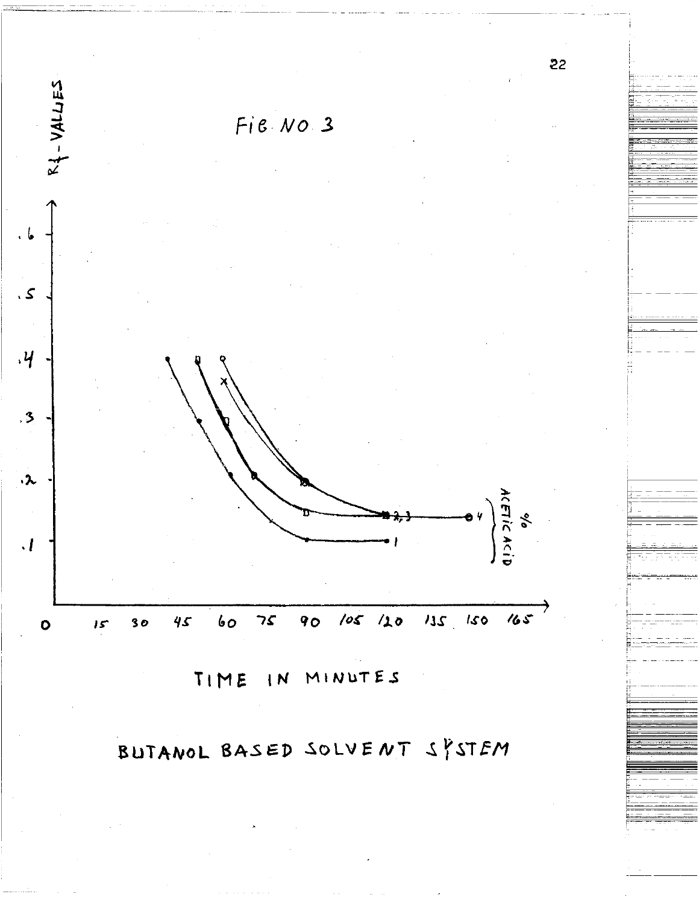

BUTANOL BASED SOLVENT SYSTEM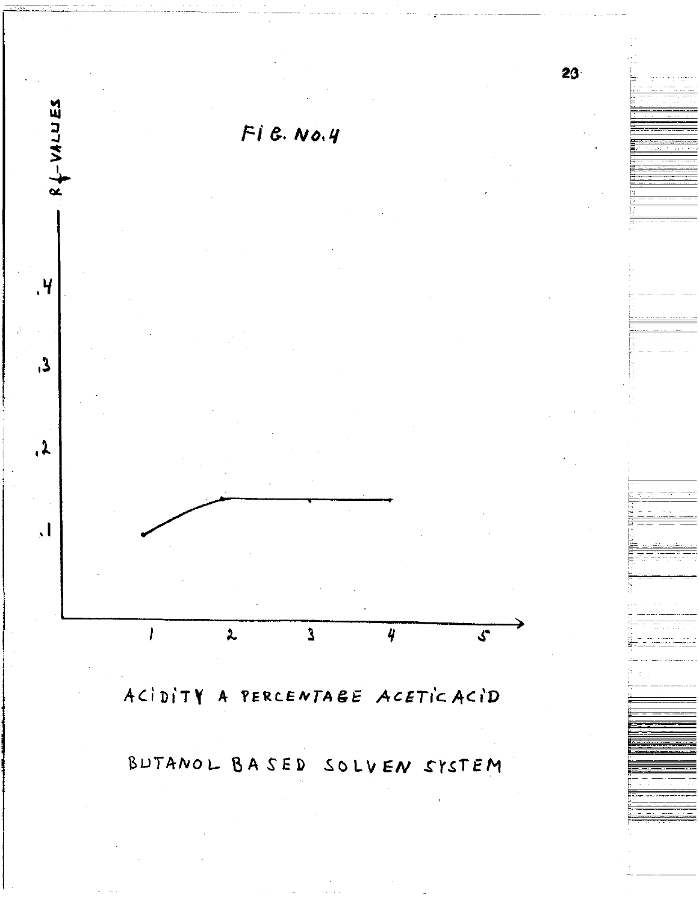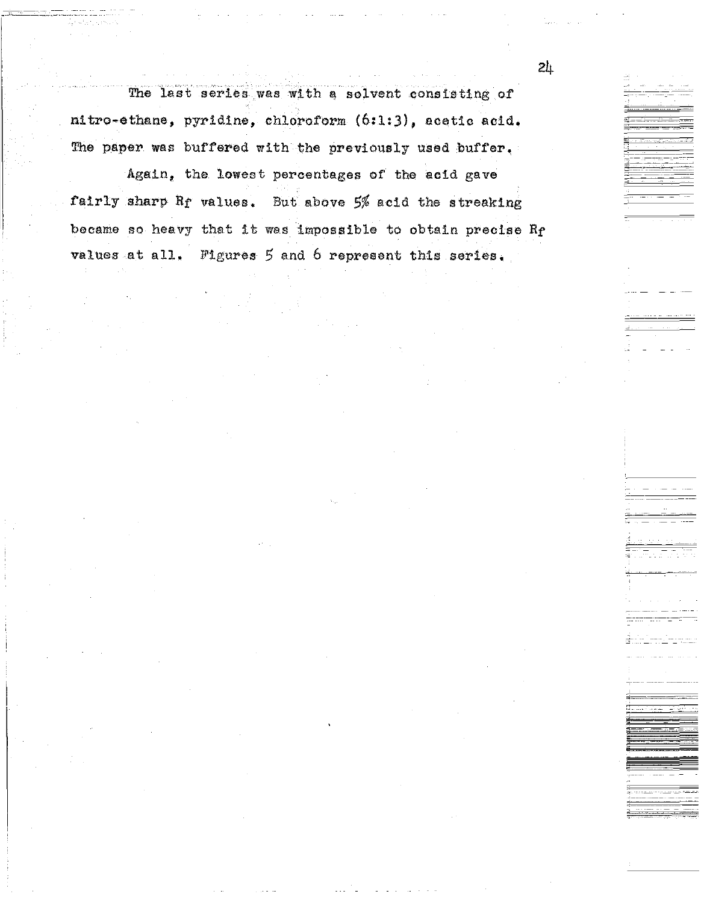The last series was with a solvent consisting of nitro-ethane, pyridine, chloroform (6:1:3), acetic acid. The paper was buffered with the previously used buffer.

Again, the lowest percentages of the acid gave fairly sharp  $R_f$  values. But above  $5%$  acid the streaking became so heavy that it was impossible to obtain precise Rf values at all, Figures *5* and 6 represent this series,

 $\frac{1}{2}$  .

---------- ----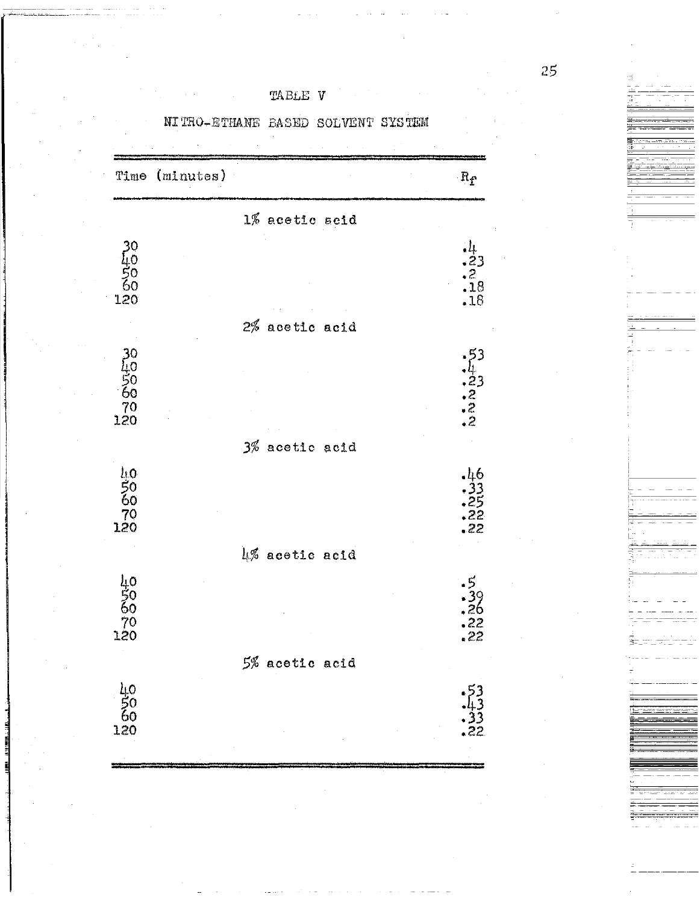| TABLE | V |
|-------|---|
|-------|---|

NITRO-ETHANE BASED SOLVENT SYSTEM



25

3. 《诗·列集·蜀野·曹操·西藏·西藏·西藏·

上午,点头中的第三天看见的是的。

Ì

- 1冊 - 1冊 - 1冊 -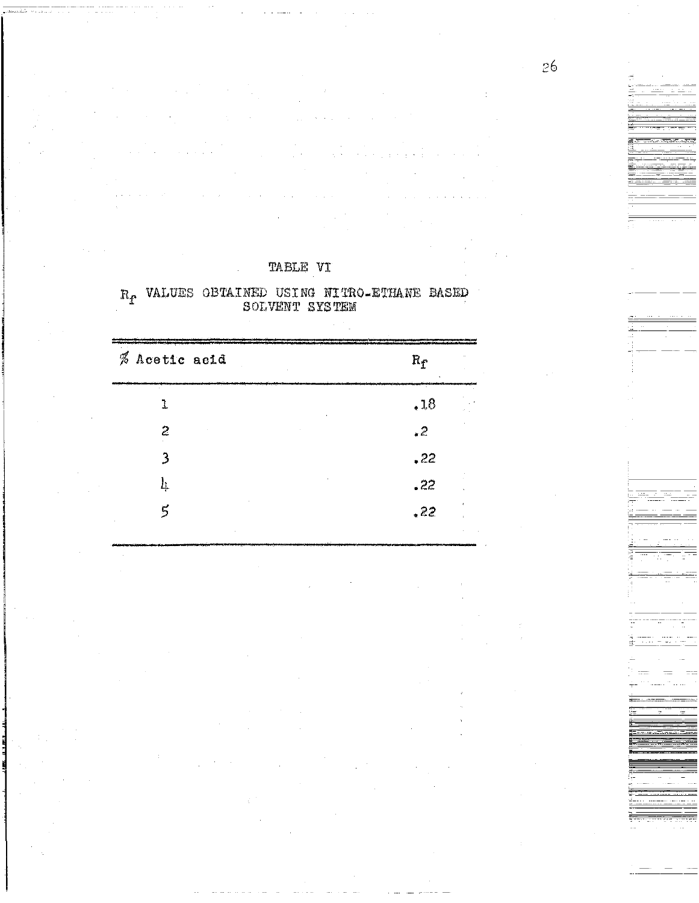| TA BLE |  | VŢ |
|--------|--|----|
|        |  |    |

 $\mathbf{R}_{\pmb{\Gamma}}$  VALUES OBTAINED USING NITRO-ETHANE BASED SOLVENT SYSTEM

| % Acetic acid  | $R_{\rm f}$ |
|----------------|-------------|
| 1              | .18         |
| 2              | $\cdot$ 2   |
| 3              | ,22         |
| 4              | .22         |
| $\overline{5}$ | .22         |
|                |             |

26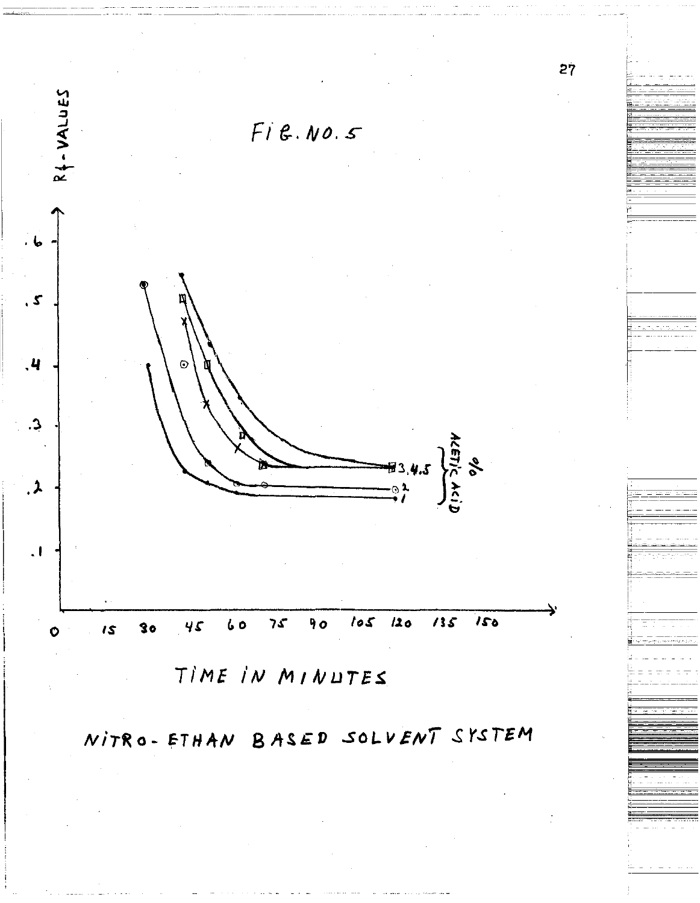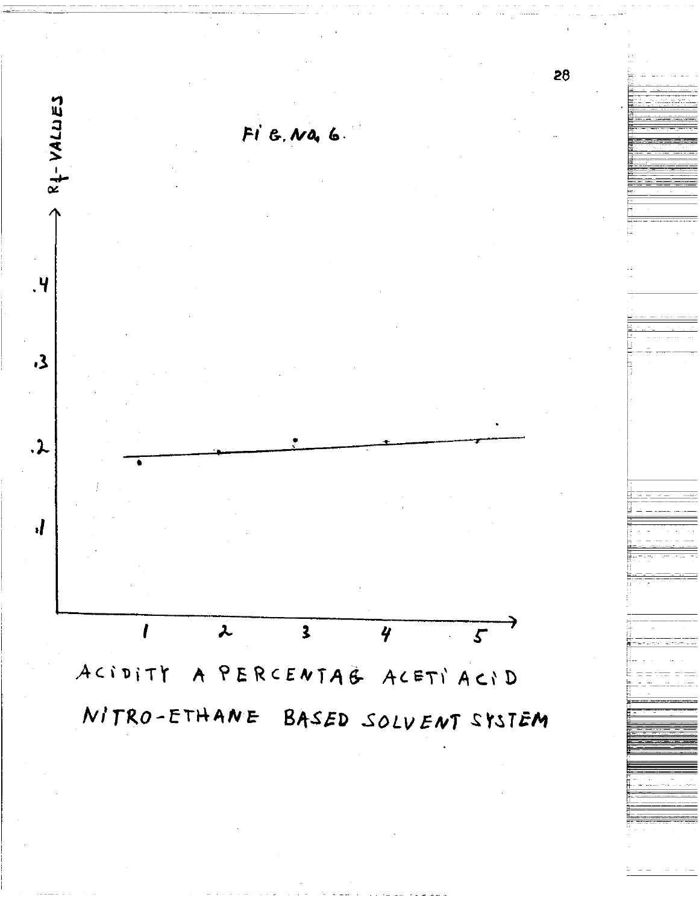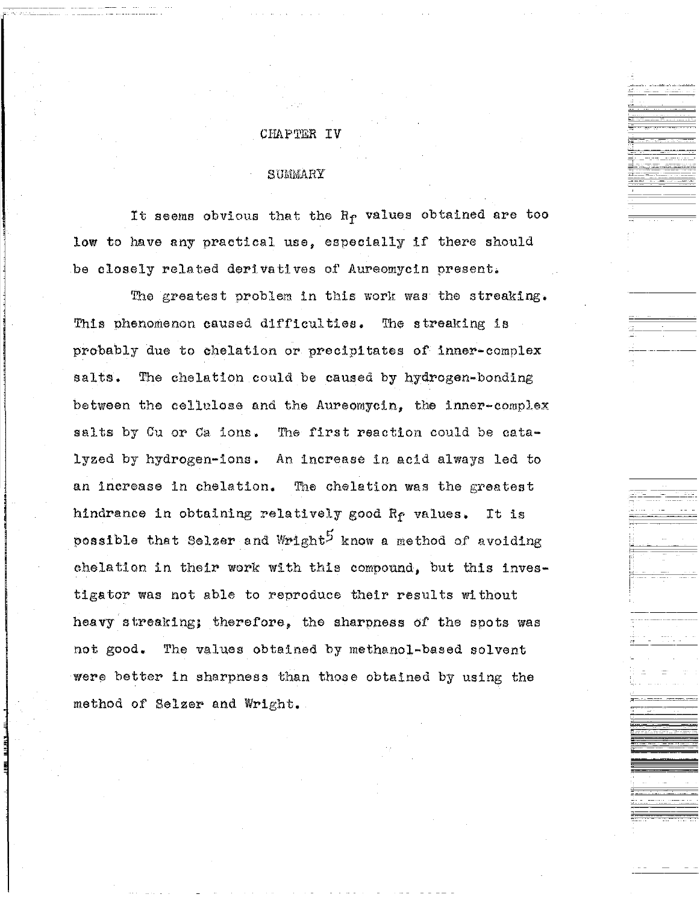#### CHAPTER IV

#### **SUMMARY**

It seems obvious that the R<sub>f</sub> values obtained are too low to have any practical use, especially if there should be closely related derivatives of Aureomycin present.

The greatest problem in this work was the streaking. This phenomenon caused difficulties. The streaking is probably due to chelation or precipitates of inner-complex The chelation could be caused by hydrogen-bonding salts. between the cellulose and the Aureomycin, the inner-complex salts by Cu or Ca ions. The first reaction could be catalyzed by hydrogen-ions. An increase in acid always led to an increase in chelation. The chelation was the greatest hindrance in obtaining relatively good Re values. It is possible that Selzer and Wright<sup>5</sup> know a method of avoiding chelation in their work with this compound, but this investigator was not able to reproduce their results without heavy streaking; therefore, the sharpness of the spots was not good. The values obtained by methanol-based solvent were better in sharpness than those obtained by using the method of Selzer and Wright.